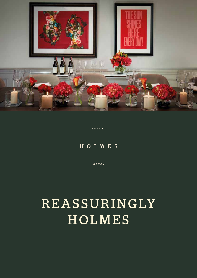

 $N$  O  $T$   $N$  O  $T$ 

#### HOIMES

 $H$  O T E L

## R E A S S U R I NG LY HOLMES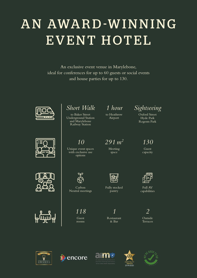# AN AWARD-WINNING EVENT HOTEL

An exclusive event venue in Marylebone, ideal for conferences for up to 60 guests or social events and house parties for up to 130.





*Short Walk*

to Baker Street Underground Station and Marylebone Railway Station

*291 m2 130*

Meeting space

to Heathrow Airport



```
Oxford Street
 Hyde Park
Regents Park
```








Unique event spaces with exclusive use options

*10*

Carbon Neutral meetings

Guest rooms

*118 1 2*

Fully stocked pantry

Restaurant & Bar



Full AV capabilities

Outside Terraces









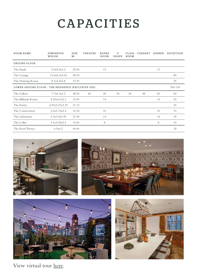### CAPACITIES

| <b>ROOM NAME</b>                                   | <b>DIMENSION</b><br>WXLXH | SIZE<br>M <sup>2</sup> | THEATRE | <b>BOARD</b><br>ROOM | U<br><b>SHAPE</b> | CLASS<br>ROOM | CABARET | <b>DINNER</b> | <b>RECEPTION</b> |
|----------------------------------------------------|---------------------------|------------------------|---------|----------------------|-------------------|---------------|---------|---------------|------------------|
| <b>GROUND FLOOR</b>                                |                           |                        |         |                      |                   |               |         |               |                  |
| The Study                                          | 5.0x5.0x2.2               | 25.00                  |         | 13                   |                   |               |         | 13            |                  |
| The Lounge                                         | 15.6x6.3x2.65             | 98.20                  |         |                      |                   |               |         |               | 80               |
| The Drawing Room                                   | 8.1x4.5x2.8               | 27.50                  |         |                      |                   |               |         |               | 25               |
| LOWER GROUND FLOOR - THE RESIDENCE (EXCLUSIVE USE) |                           |                        |         |                      |                   |               |         |               | $100 - 130$      |
| The Gallery                                        | 7.7x6.3x2.2               | 48.50                  | 60      | 20                   | 18                | 18            | 48      | 60            | 60               |
| The Billiards Room                                 | 8.25x4.0x2.3              | 33.00                  |         | 14                   |                   |               |         | 14            | 20               |
| The Pantry                                         | 4.93x4.27x2.35            | 21.10                  |         |                      |                   |               |         |               | 20               |
| The Conservatory                                   | 4.4x3.74x2.4              | 16.50                  |         | 10                   |                   |               |         | 10            | 15               |
| The Laboratory                                     | 6.3x3.4x2.45              | 21.40                  |         | 14                   |                   |               |         | 14            | 20               |
| The Cellar                                         | 4.1x4.65x2.4              | 19.00                  |         | 8                    |                   |               |         | 8             | 10               |
| The Roof Terrace                                   | 6.5x6.2                   | 40.00                  |         |                      |                   |               |         |               | 20               |









View virtual tour [here](https://my.matterport.com/show/?m=AMtykTjueMy).